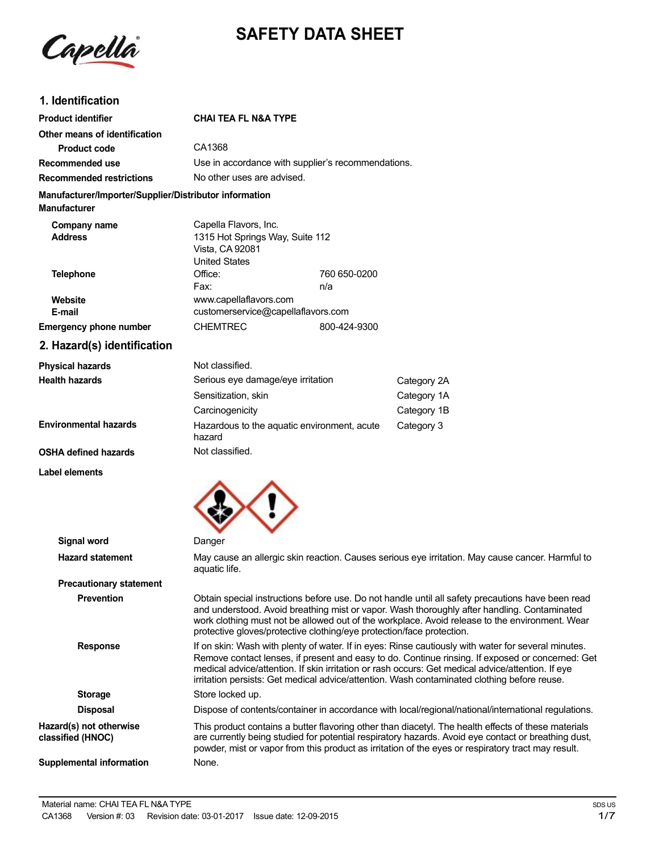

# **SAFETY DATA SHEET**

# **1. Identification**

| <b>Product identifier</b>                                              | <b>CHAI TEA FL N&amp;A TYPE</b>                                            |                                                    |             |  |
|------------------------------------------------------------------------|----------------------------------------------------------------------------|----------------------------------------------------|-------------|--|
| Other means of identification                                          |                                                                            |                                                    |             |  |
| <b>Product code</b>                                                    | CA1368                                                                     |                                                    |             |  |
| Recommended use                                                        |                                                                            | Use in accordance with supplier's recommendations. |             |  |
| <b>Recommended restrictions</b>                                        |                                                                            | No other uses are advised.                         |             |  |
| Manufacturer/Importer/Supplier/Distributor information<br>Manufacturer |                                                                            |                                                    |             |  |
| Company name                                                           | Capella Flavors, Inc.                                                      |                                                    |             |  |
| <b>Address</b>                                                         | 1315 Hot Springs Way, Suite 112<br>Vista, CA 92081<br><b>United States</b> |                                                    |             |  |
| <b>Telephone</b>                                                       | Office:                                                                    | 760 650-0200                                       |             |  |
|                                                                        | Fax:                                                                       | n/a                                                |             |  |
| Website                                                                | www.capellaflavors.com                                                     |                                                    |             |  |
| E-mail                                                                 |                                                                            | customerservice@capellaflavors.com                 |             |  |
| <b>Emergency phone number</b>                                          | <b>CHEMTREC</b>                                                            | 800-424-9300                                       |             |  |
| 2. Hazard(s) identification                                            |                                                                            |                                                    |             |  |
| <b>Physical hazards</b>                                                | Not classified.                                                            |                                                    |             |  |
| <b>Health hazards</b>                                                  | Serious eye damage/eye irritation                                          |                                                    | Category 2A |  |
|                                                                        | Sensitization, skin                                                        |                                                    | Category 1A |  |
|                                                                        | Carcinogenicity                                                            |                                                    | Category 1B |  |
| <b>Environmental hazards</b>                                           | hazard                                                                     | Hazardous to the aquatic environment, acute        | Category 3  |  |
| OSHA defined hazards                                                   | Not classified.                                                            |                                                    |             |  |

**OSHA defined hazards**

**Label elements**



| <b>Signal word</b>                           | Danger                                                                                                                                                                                                                                                                                                                                                                                                      |
|----------------------------------------------|-------------------------------------------------------------------------------------------------------------------------------------------------------------------------------------------------------------------------------------------------------------------------------------------------------------------------------------------------------------------------------------------------------------|
| <b>Hazard statement</b>                      | May cause an allergic skin reaction. Causes serious eye irritation. May cause cancer. Harmful to<br>aquatic life.                                                                                                                                                                                                                                                                                           |
| <b>Precautionary statement</b>               |                                                                                                                                                                                                                                                                                                                                                                                                             |
| <b>Prevention</b>                            | Obtain special instructions before use. Do not handle until all safety precautions have been read<br>and understood. Avoid breathing mist or vapor. Wash thoroughly after handling. Contaminated<br>work clothing must not be allowed out of the workplace. Avoid release to the environment. Wear<br>protective gloves/protective clothing/eye protection/face protection.                                 |
| <b>Response</b>                              | If on skin: Wash with plenty of water. If in eyes: Rinse cautiously with water for several minutes.<br>Remove contact lenses, if present and easy to do. Continue rinsing. If exposed or concerned: Get<br>medical advice/attention. If skin irritation or rash occurs: Get medical advice/attention. If eye<br>irritation persists: Get medical advice/attention. Wash contaminated clothing before reuse. |
| <b>Storage</b>                               | Store locked up.                                                                                                                                                                                                                                                                                                                                                                                            |
| <b>Disposal</b>                              | Dispose of contents/container in accordance with local/regional/national/international regulations.                                                                                                                                                                                                                                                                                                         |
| Hazard(s) not otherwise<br>classified (HNOC) | This product contains a butter flavoring other than diacetyl. The health effects of these materials<br>are currently being studied for potential respiratory hazards. Avoid eye contact or breathing dust,<br>powder, mist or vapor from this product as irritation of the eyes or respiratory tract may result.                                                                                            |
| Supplemental information                     | None.                                                                                                                                                                                                                                                                                                                                                                                                       |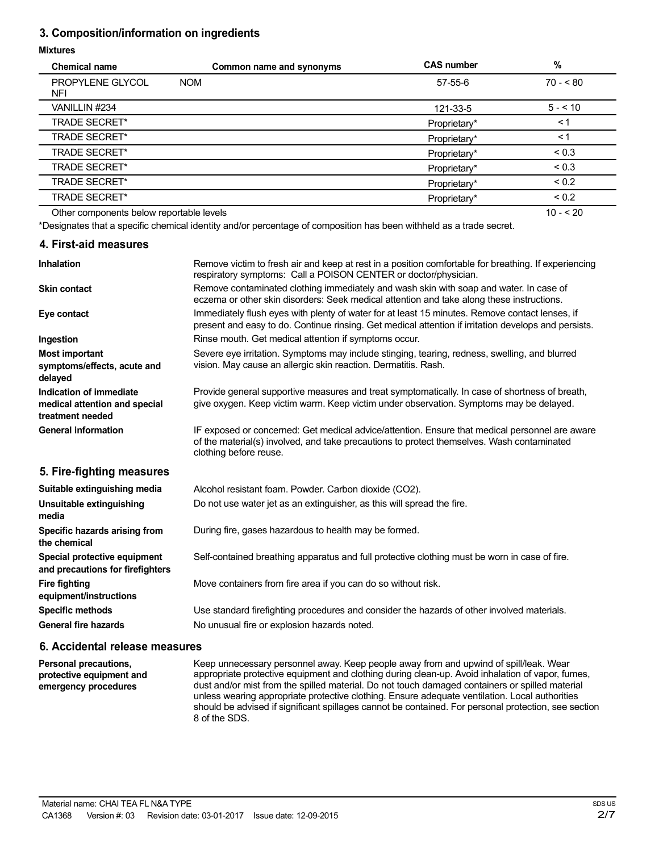# **3. Composition/information on ingredients**

#### **Mixtures**

| <b>Chemical name</b>                     | Common name and synonyms | <b>CAS number</b> | %          |
|------------------------------------------|--------------------------|-------------------|------------|
| PROPYLENE GLYCOL<br><b>NFI</b>           | <b>NOM</b>               | $57 - 55 - 6$     | $70 - 80$  |
| VANILLIN #234                            |                          | 121-33-5          | $5 - 10$   |
| <b>TRADE SECRET*</b>                     |                          | Proprietary*      | < 1        |
| <b>TRADE SECRET*</b>                     |                          | Proprietary*      | ≺1         |
| <b>TRADE SECRET*</b>                     |                          | Proprietary*      | ${}_{0.3}$ |
| <b>TRADE SECRET*</b>                     |                          | Proprietary*      | ${}_{0.3}$ |
| <b>TRADE SECRET*</b>                     |                          | Proprietary*      | ${}_{0.2}$ |
| <b>TRADE SECRET*</b>                     |                          | Proprietary*      | ${}_{0.2}$ |
| Other components below reportable levels |                          |                   | $10 - 20$  |

Other components below reportable levels

\*Designates that a specific chemical identity and/or percentage of composition has been withheld as a trade secret.

#### **4. First-aid measures**

| <b>Inhalation</b>                                                            | Remove victim to fresh air and keep at rest in a position comfortable for breathing. If experiencing<br>respiratory symptoms: Call a POISON CENTER or doctor/physician.                                                |
|------------------------------------------------------------------------------|------------------------------------------------------------------------------------------------------------------------------------------------------------------------------------------------------------------------|
| <b>Skin contact</b>                                                          | Remove contaminated clothing immediately and wash skin with soap and water. In case of<br>eczema or other skin disorders: Seek medical attention and take along these instructions.                                    |
| Eye contact                                                                  | Immediately flush eyes with plenty of water for at least 15 minutes. Remove contact lenses, if<br>present and easy to do. Continue rinsing. Get medical attention if irritation develops and persists.                 |
| Ingestion                                                                    | Rinse mouth. Get medical attention if symptoms occur.                                                                                                                                                                  |
| Most important<br>symptoms/effects, acute and<br>delayed                     | Severe eye irritation. Symptoms may include stinging, tearing, redness, swelling, and blurred<br>vision. May cause an allergic skin reaction. Dermatitis. Rash.                                                        |
| Indication of immediate<br>medical attention and special<br>treatment needed | Provide general supportive measures and treat symptomatically. In case of shortness of breath,<br>give oxygen. Keep victim warm. Keep victim under observation. Symptoms may be delayed.                               |
| <b>General information</b>                                                   | IF exposed or concerned: Get medical advice/attention. Ensure that medical personnel are aware<br>of the material(s) involved, and take precautions to protect themselves. Wash contaminated<br>clothing before reuse. |
| 5. Fire-fighting measures                                                    |                                                                                                                                                                                                                        |
| Suitable extinguishing media                                                 | Alcohol resistant foam. Powder. Carbon dioxide (CO2).                                                                                                                                                                  |
| Unsuitable extinguishing<br>media                                            | Do not use water jet as an extinguisher, as this will spread the fire.                                                                                                                                                 |

During fire, gases hazardous to health may be formed.

Self-contained breathing apparatus and full protective clothing must be worn in case of fire.

Move containers from fire area if you can do so without risk.

Use standard firefighting procedures and consider the hazards of other involved materials. No unusual fire or explosion hazards noted.

### **6. Accidental release measures**

**Personal precautions, protective equipment and emergency procedures**

**Specific hazards arising from**

**Special protective equipment and precautions for firefighters**

**equipment/instructions Specific methods General fire hazards**

**the chemical**

**Fire fighting**

Keep unnecessary personnel away. Keep people away from and upwind of spill/leak. Wear appropriate protective equipment and clothing during clean-up. Avoid inhalation of vapor, fumes, dust and/or mist from the spilled material. Do not touch damaged containers or spilled material unless wearing appropriate protective clothing. Ensure adequate ventilation. Local authorities should be advised if significant spillages cannot be contained. For personal protection, see section 8 of the SDS.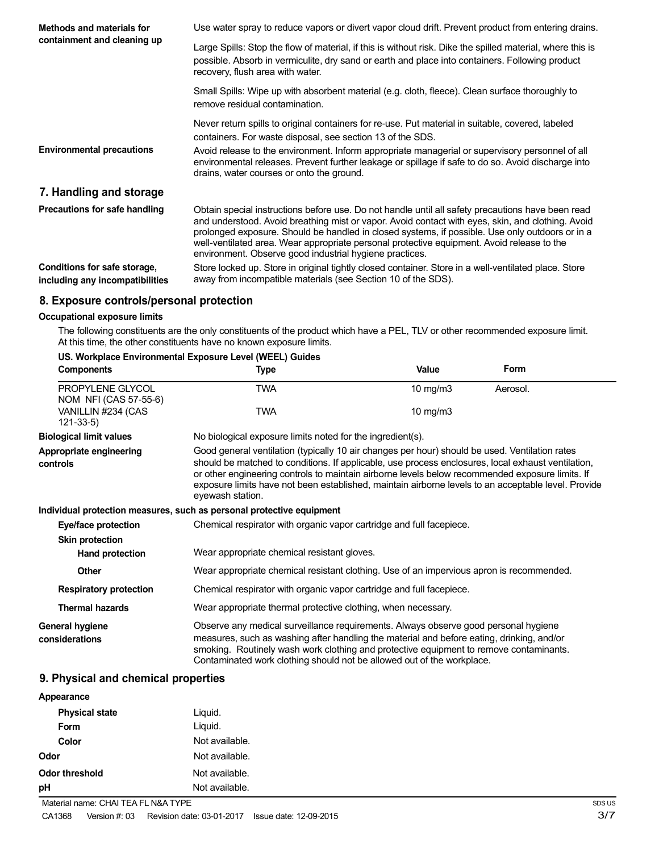| Methods and materials for                                       | Use water spray to reduce vapors or divert vapor cloud drift. Prevent product from entering drains.                                                                                                                                                                                                                                                                                                                                                                |
|-----------------------------------------------------------------|--------------------------------------------------------------------------------------------------------------------------------------------------------------------------------------------------------------------------------------------------------------------------------------------------------------------------------------------------------------------------------------------------------------------------------------------------------------------|
| containment and cleaning up                                     | Large Spills: Stop the flow of material, if this is without risk. Dike the spilled material, where this is<br>possible. Absorb in vermiculite, dry sand or earth and place into containers. Following product<br>recovery, flush area with water.                                                                                                                                                                                                                  |
|                                                                 | Small Spills: Wipe up with absorbent material (e.g. cloth, fleece). Clean surface thoroughly to<br>remove residual contamination.                                                                                                                                                                                                                                                                                                                                  |
|                                                                 | Never return spills to original containers for re-use. Put material in suitable, covered, labeled<br>containers. For waste disposal, see section 13 of the SDS.                                                                                                                                                                                                                                                                                                    |
| <b>Environmental precautions</b>                                | Avoid release to the environment. Inform appropriate managerial or supervisory personnel of all<br>environmental releases. Prevent further leakage or spillage if safe to do so. Avoid discharge into<br>drains, water courses or onto the ground.                                                                                                                                                                                                                 |
| 7. Handling and storage                                         |                                                                                                                                                                                                                                                                                                                                                                                                                                                                    |
| Precautions for safe handling                                   | Obtain special instructions before use. Do not handle until all safety precautions have been read<br>and understood. Avoid breathing mist or vapor. Avoid contact with eyes, skin, and clothing. Avoid<br>prolonged exposure. Should be handled in closed systems, if possible. Use only outdoors or in a<br>well-ventilated area. Wear appropriate personal protective equipment. Avoid release to the<br>environment. Observe good industrial hygiene practices. |
| Conditions for safe storage,<br>including any incompatibilities | Store locked up. Store in original tightly closed container. Store in a well-ventilated place. Store<br>away from incompatible materials (see Section 10 of the SDS).                                                                                                                                                                                                                                                                                              |

## **8. Exposure controls/personal protection**

#### **Occupational exposure limits**

The following constituents are the only constituents of the product which have a PEL, TLV or other recommended exposure limit. At this time, the other constituents have no known exposure limits.

# **US. Workplace Environmental Exposure Level (WEEL) Guides**

| <b>Components</b>                         | Type                                                                                                                                                                                                                                                                                                                                                                                                                               | Value       | Form     |
|-------------------------------------------|------------------------------------------------------------------------------------------------------------------------------------------------------------------------------------------------------------------------------------------------------------------------------------------------------------------------------------------------------------------------------------------------------------------------------------|-------------|----------|
| PROPYLENE GLYCOL<br>NOM NFI (CAS 57-55-6) | TWA                                                                                                                                                                                                                                                                                                                                                                                                                                | 10 mg/m $3$ | Aerosol. |
| VANILLIN #234 (CAS<br>$121 - 33 - 5$      | TWA                                                                                                                                                                                                                                                                                                                                                                                                                                | 10 mg/m $3$ |          |
| <b>Biological limit values</b>            | No biological exposure limits noted for the ingredient(s).                                                                                                                                                                                                                                                                                                                                                                         |             |          |
| Appropriate engineering<br>controls       | Good general ventilation (typically 10 air changes per hour) should be used. Ventilation rates<br>should be matched to conditions. If applicable, use process enclosures, local exhaust ventilation,<br>or other engineering controls to maintain airborne levels below recommended exposure limits. If<br>exposure limits have not been established, maintain airborne levels to an acceptable level. Provide<br>eyewash station. |             |          |
|                                           | Individual protection measures, such as personal protective equipment                                                                                                                                                                                                                                                                                                                                                              |             |          |
| Eye/face protection                       | Chemical respirator with organic vapor cartridge and full facepiece.                                                                                                                                                                                                                                                                                                                                                               |             |          |
| <b>Skin protection</b>                    |                                                                                                                                                                                                                                                                                                                                                                                                                                    |             |          |
| Hand protection                           | Wear appropriate chemical resistant gloves.                                                                                                                                                                                                                                                                                                                                                                                        |             |          |
| <b>Other</b>                              | Wear appropriate chemical resistant clothing. Use of an impervious apron is recommended.                                                                                                                                                                                                                                                                                                                                           |             |          |
| <b>Respiratory protection</b>             | Chemical respirator with organic vapor cartridge and full facepiece.                                                                                                                                                                                                                                                                                                                                                               |             |          |
| <b>Thermal hazards</b>                    | Wear appropriate thermal protective clothing, when necessary.                                                                                                                                                                                                                                                                                                                                                                      |             |          |
| General hygiene<br>considerations         | Observe any medical surveillance requirements. Always observe good personal hygiene<br>measures, such as washing after handling the material and before eating, drinking, and/or<br>smoking. Routinely wash work clothing and protective equipment to remove contaminants.<br>Contaminated work clothing should not be allowed out of the workplace.                                                                               |             |          |

# **9. Physical and chemical properties**

| Appearance            |                |
|-----------------------|----------------|
| <b>Physical state</b> | Liquid.        |
| <b>Form</b>           | Liquid.        |
| Color                 | Not available. |
| Odor                  | Not available. |
| <b>Odor threshold</b> | Not available. |
| pH                    | Not available. |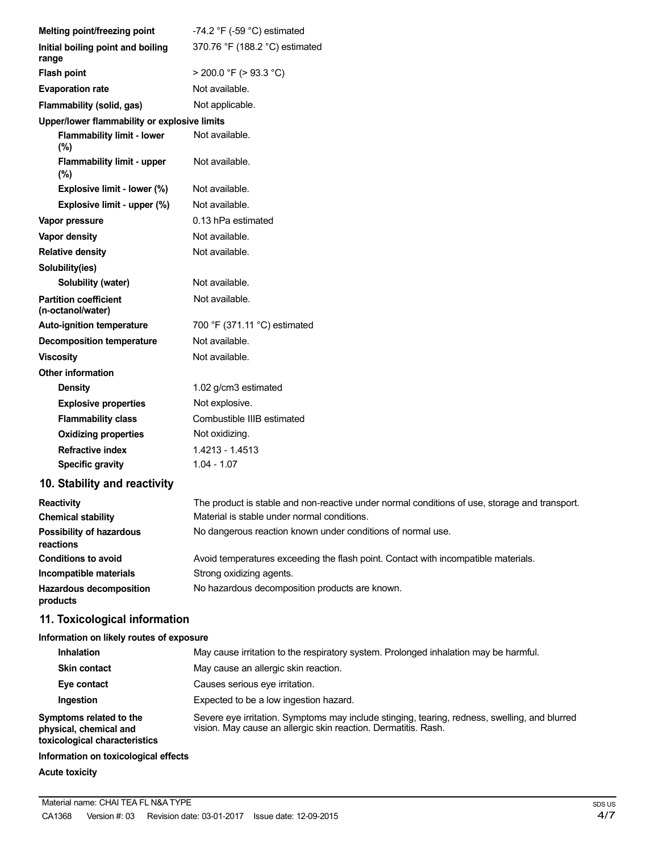| Melting point/freezing point                                                       | -74.2 $\degree$ F (-59 $\degree$ C) estimated                                                                                                                   |
|------------------------------------------------------------------------------------|-----------------------------------------------------------------------------------------------------------------------------------------------------------------|
| Initial boiling point and boiling<br>range                                         | 370.76 °F (188.2 °C) estimated                                                                                                                                  |
| <b>Flash point</b>                                                                 | $>$ 200.0 °F ( $>$ 93.3 °C)                                                                                                                                     |
| <b>Evaporation rate</b>                                                            | Not available.                                                                                                                                                  |
| Flammability (solid, gas)                                                          | Not applicable.                                                                                                                                                 |
| Upper/lower flammability or explosive limits                                       |                                                                                                                                                                 |
| <b>Flammability limit - lower</b><br>$(\%)$                                        | Not available.                                                                                                                                                  |
| <b>Flammability limit - upper</b><br>$(\%)$                                        | Not available.                                                                                                                                                  |
| Explosive limit - lower (%)                                                        | Not available.                                                                                                                                                  |
| Explosive limit - upper (%)                                                        | Not available.                                                                                                                                                  |
| Vapor pressure                                                                     | 0.13 hPa estimated                                                                                                                                              |
| <b>Vapor density</b>                                                               | Not available.                                                                                                                                                  |
| <b>Relative density</b>                                                            | Not available.                                                                                                                                                  |
| Solubility(ies)                                                                    |                                                                                                                                                                 |
| Solubility (water)                                                                 | Not available.                                                                                                                                                  |
| <b>Partition coefficient</b><br>(n-octanol/water)                                  | Not available.                                                                                                                                                  |
| <b>Auto-ignition temperature</b>                                                   | 700 °F (371.11 °C) estimated                                                                                                                                    |
| <b>Decomposition temperature</b>                                                   | Not available.                                                                                                                                                  |
| <b>Viscosity</b>                                                                   | Not available.                                                                                                                                                  |
| <b>Other information</b>                                                           |                                                                                                                                                                 |
| <b>Density</b>                                                                     | 1.02 g/cm3 estimated                                                                                                                                            |
| <b>Explosive properties</b>                                                        | Not explosive.                                                                                                                                                  |
| <b>Flammability class</b>                                                          | Combustible IIIB estimated                                                                                                                                      |
| <b>Oxidizing properties</b>                                                        | Not oxidizing.                                                                                                                                                  |
| <b>Refractive index</b>                                                            | 1.4213 - 1.4513                                                                                                                                                 |
| <b>Specific gravity</b>                                                            | $1.04 - 1.07$                                                                                                                                                   |
| 10. Stability and reactivity                                                       |                                                                                                                                                                 |
| <b>Reactivity</b><br><b>Chemical stability</b>                                     | The product is stable and non-reactive under normal conditions of use, storage and transport.<br>Material is stable under normal conditions.                    |
| <b>Possibility of hazardous</b><br>reactions                                       | No dangerous reaction known under conditions of normal use.                                                                                                     |
| <b>Conditions to avoid</b>                                                         | Avoid temperatures exceeding the flash point. Contact with incompatible materials.                                                                              |
| Incompatible materials                                                             | Strong oxidizing agents.                                                                                                                                        |
| <b>Hazardous decomposition</b><br>products                                         | No hazardous decomposition products are known.                                                                                                                  |
| 11. Toxicological information                                                      |                                                                                                                                                                 |
| Information on likely routes of exposure                                           |                                                                                                                                                                 |
| <b>Inhalation</b>                                                                  | May cause irritation to the respiratory system. Prolonged inhalation may be harmful.                                                                            |
| <b>Skin contact</b>                                                                | May cause an allergic skin reaction.                                                                                                                            |
| Eye contact                                                                        | Causes serious eye irritation.                                                                                                                                  |
| Ingestion                                                                          | Expected to be a low ingestion hazard.                                                                                                                          |
| Symptoms related to the<br>physical, chemical and<br>toxicological characteristics | Severe eye irritation. Symptoms may include stinging, tearing, redness, swelling, and blurred<br>vision. May cause an allergic skin reaction. Dermatitis. Rash. |

### **Information on toxicological effects**

# **Acute toxicity**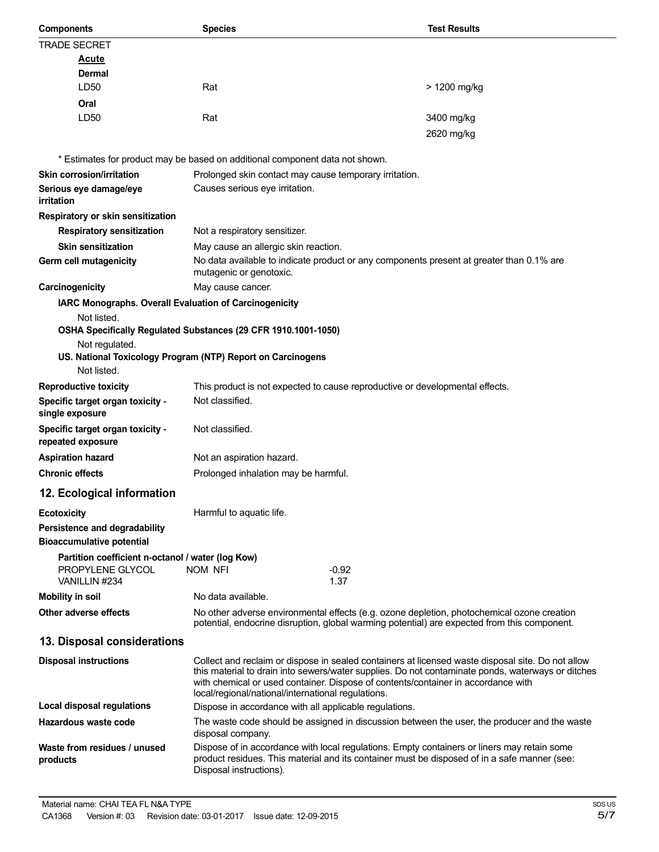| <b>Components</b>                                      | <b>Species</b>                                                                                                                                                                                                                                                                                                                                    | <b>Test Results</b> |
|--------------------------------------------------------|---------------------------------------------------------------------------------------------------------------------------------------------------------------------------------------------------------------------------------------------------------------------------------------------------------------------------------------------------|---------------------|
| <b>TRADE SECRET</b>                                    |                                                                                                                                                                                                                                                                                                                                                   |                     |
| <b>Acute</b>                                           |                                                                                                                                                                                                                                                                                                                                                   |                     |
| Dermal                                                 |                                                                                                                                                                                                                                                                                                                                                   |                     |
| LD50                                                   | Rat                                                                                                                                                                                                                                                                                                                                               | > 1200 mg/kg        |
| Oral                                                   |                                                                                                                                                                                                                                                                                                                                                   |                     |
| LD50                                                   | Rat                                                                                                                                                                                                                                                                                                                                               | 3400 mg/kg          |
|                                                        |                                                                                                                                                                                                                                                                                                                                                   | 2620 mg/kg          |
|                                                        |                                                                                                                                                                                                                                                                                                                                                   |                     |
|                                                        | * Estimates for product may be based on additional component data not shown.                                                                                                                                                                                                                                                                      |                     |
| <b>Skin corrosion/irritation</b>                       | Prolonged skin contact may cause temporary irritation.                                                                                                                                                                                                                                                                                            |                     |
| Serious eye damage/eye<br>irritation                   | Causes serious eye irritation.                                                                                                                                                                                                                                                                                                                    |                     |
| Respiratory or skin sensitization                      |                                                                                                                                                                                                                                                                                                                                                   |                     |
| <b>Respiratory sensitization</b>                       | Not a respiratory sensitizer.                                                                                                                                                                                                                                                                                                                     |                     |
| <b>Skin sensitization</b>                              | May cause an allergic skin reaction.                                                                                                                                                                                                                                                                                                              |                     |
| Germ cell mutagenicity                                 | No data available to indicate product or any components present at greater than 0.1% are                                                                                                                                                                                                                                                          |                     |
|                                                        | mutagenic or genotoxic.                                                                                                                                                                                                                                                                                                                           |                     |
| Carcinogenicity                                        | May cause cancer.                                                                                                                                                                                                                                                                                                                                 |                     |
| IARC Monographs. Overall Evaluation of Carcinogenicity |                                                                                                                                                                                                                                                                                                                                                   |                     |
| Not listed.                                            |                                                                                                                                                                                                                                                                                                                                                   |                     |
|                                                        | OSHA Specifically Regulated Substances (29 CFR 1910.1001-1050)                                                                                                                                                                                                                                                                                    |                     |
| Not regulated.                                         |                                                                                                                                                                                                                                                                                                                                                   |                     |
| Not listed.                                            | US. National Toxicology Program (NTP) Report on Carcinogens                                                                                                                                                                                                                                                                                       |                     |
|                                                        |                                                                                                                                                                                                                                                                                                                                                   |                     |
| <b>Reproductive toxicity</b>                           | This product is not expected to cause reproductive or developmental effects.<br>Not classified.                                                                                                                                                                                                                                                   |                     |
| Specific target organ toxicity -<br>single exposure    |                                                                                                                                                                                                                                                                                                                                                   |                     |
| Specific target organ toxicity -<br>repeated exposure  | Not classified.                                                                                                                                                                                                                                                                                                                                   |                     |
| <b>Aspiration hazard</b>                               | Not an aspiration hazard.                                                                                                                                                                                                                                                                                                                         |                     |
| <b>Chronic effects</b>                                 | Prolonged inhalation may be harmful.                                                                                                                                                                                                                                                                                                              |                     |
| 12. Ecological information                             |                                                                                                                                                                                                                                                                                                                                                   |                     |
| <b>Ecotoxicity</b>                                     | Harmful to aquatic life.                                                                                                                                                                                                                                                                                                                          |                     |
| Persistence and degradability                          |                                                                                                                                                                                                                                                                                                                                                   |                     |
| <b>Bioaccumulative potential</b>                       |                                                                                                                                                                                                                                                                                                                                                   |                     |
| Partition coefficient n-octanol / water (log Kow)      |                                                                                                                                                                                                                                                                                                                                                   |                     |
| PROPYLENE GLYCOL                                       | NOM NFI<br>$-0.92$                                                                                                                                                                                                                                                                                                                                |                     |
| VANILLIN #234                                          | 1.37                                                                                                                                                                                                                                                                                                                                              |                     |
| <b>Mobility in soil</b>                                | No data available.                                                                                                                                                                                                                                                                                                                                |                     |
| Other adverse effects                                  | No other adverse environmental effects (e.g. ozone depletion, photochemical ozone creation<br>potential, endocrine disruption, global warming potential) are expected from this component.                                                                                                                                                        |                     |
| 13. Disposal considerations                            |                                                                                                                                                                                                                                                                                                                                                   |                     |
| <b>Disposal instructions</b>                           | Collect and reclaim or dispose in sealed containers at licensed waste disposal site. Do not allow<br>this material to drain into sewers/water supplies. Do not contaminate ponds, waterways or ditches<br>with chemical or used container. Dispose of contents/container in accordance with<br>local/regional/national/international regulations. |                     |
| <b>Local disposal regulations</b>                      | Dispose in accordance with all applicable regulations.                                                                                                                                                                                                                                                                                            |                     |
| Hazardous waste code                                   | The waste code should be assigned in discussion between the user, the producer and the waste                                                                                                                                                                                                                                                      |                     |
|                                                        | disposal company.                                                                                                                                                                                                                                                                                                                                 |                     |
| Waste from residues / unused<br>products               | Dispose of in accordance with local regulations. Empty containers or liners may retain some<br>product residues. This material and its container must be disposed of in a safe manner (see:<br>Disposal instructions).                                                                                                                            |                     |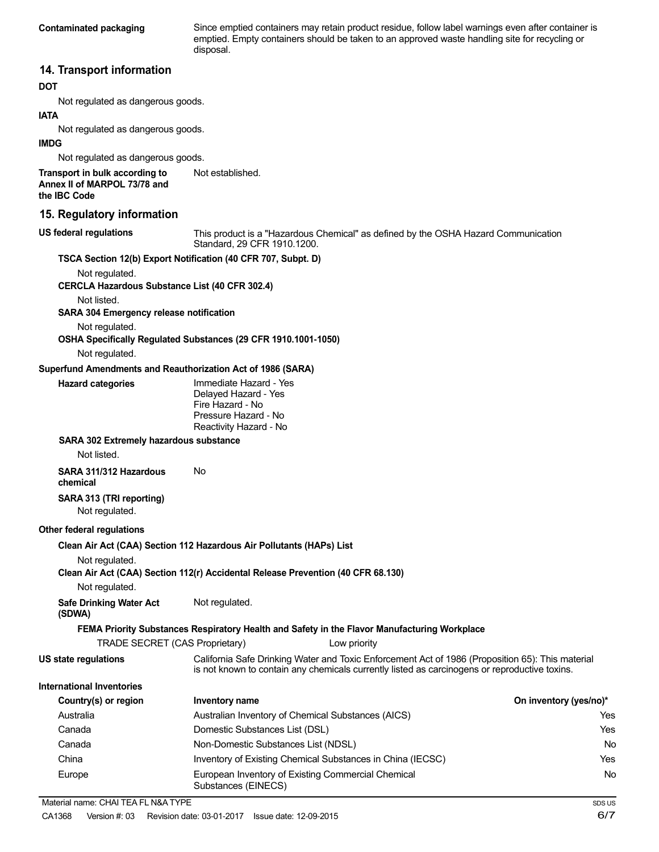**Contaminated packaging** Since emptied containers may retain product residue, follow label warnings even after container is emptied. Empty containers should be taken to an approved waste handling site for recycling or disposal.

## **14. Transport information**

#### **DOT**

Not regulated as dangerous goods.

#### **IATA**

Not regulated as dangerous goods.

#### **IMDG**

Not regulated as dangerous goods.

**Transport in bulk according to Annex II of MARPOL 73/78 and the IBC Code**

### **15. Regulatory information**

**US federal regulations**

This product is a "Hazardous Chemical" as defined by the OSHA Hazard Communication Standard, 29 CFR 1910.1200.

### **TSCA Section 12(b) Export Notification (40 CFR 707, Subpt. D)**

Not established.

Not regulated.

#### **CERCLA Hazardous Substance List (40 CFR 302.4)**

Not listed.

#### **SARA 304 Emergency release notification**

Not regulated.

# **OSHA Specifically Regulated Substances (29 CFR 1910.1001-1050)**

Not regulated.

#### **Superfund Amendments and Reauthorization Act of 1986 (SARA)**

| <b>Hazard categories</b> | Immediate Hazard - Yes |
|--------------------------|------------------------|
|                          | Delayed Hazard - Yes   |
|                          | Fire Hazard - No       |
|                          | Pressure Hazard - No   |
|                          | Reactivity Hazard - No |

#### **SARA 302 Extremely hazardous substance**

Not listed.

**SARA 311/312 Hazardous** No **chemical**

#### **SARA 313 (TRI reporting)** Not regulated.

#### **Other federal regulations**

**Clean Air Act (CAA) Section 112 Hazardous Air Pollutants (HAPs) List**

Not regulated.

**Clean Air Act (CAA) Section 112(r) Accidental Release Prevention (40 CFR 68.130)**

Not regulated.

**Safe Drinking Water Act** Not regulated. **(SDWA)**

## **FEMA Priority Substances Respiratory Health and Safety in the Flavor Manufacturing Workplace**

TRADE SECRET (CAS Proprietary) Low priority

**US state regulations** California Safe Drinking Water and Toxic Enforcement Act of 1986 (Proposition 65): This material is not known to contain any chemicals currently listed as carcinogens or reproductive toxins.

#### **International Inventories**

| Country(s) or region | Inventory name                                                            | On inventory (yes/no)* |
|----------------------|---------------------------------------------------------------------------|------------------------|
| Australia            | Australian Inventory of Chemical Substances (AICS)                        | Yes                    |
| Canada               | Domestic Substances List (DSL)                                            | Yes                    |
| Canada               | Non-Domestic Substances List (NDSL)                                       | No                     |
| China                | Inventory of Existing Chemical Substances in China (IECSC)                | Yes                    |
| Europe               | European Inventory of Existing Commercial Chemical<br>Substances (EINECS) | No                     |